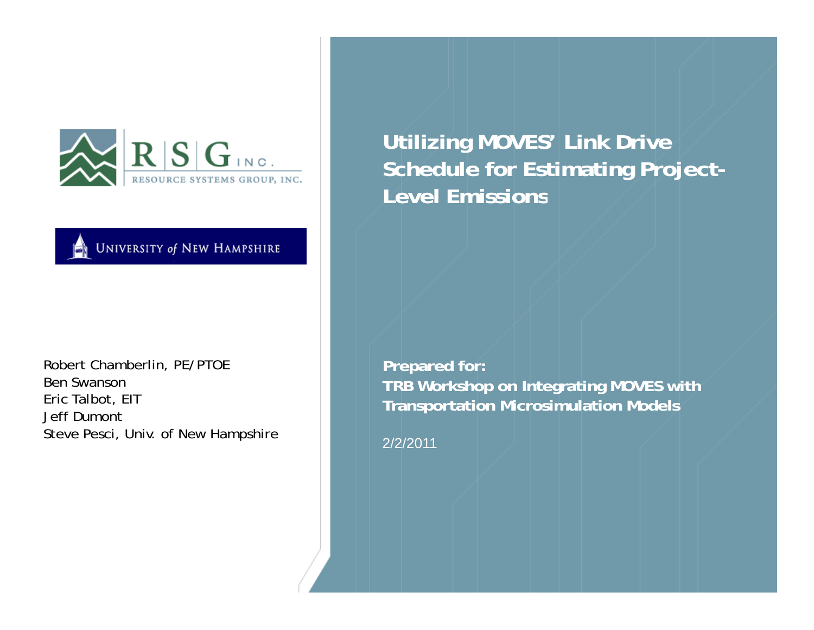

**UNIVERSITY of NEW HAMPSHIRE** 

Robert Chamberlin, PE/PTOE Ben SwansonEric Talbot, EIT Jeff DumontSteve Pesci, Univ. of New Hampshire  $\begin{array}{|c|c|c|c|}\hline & 2/2/2011 \ \hline \end{array}$ 

**Utilizing MOVES' Link Drive Schedule for Estimating Project-Level Emissions**

**Prepared for: TRB Workshop on Integrating MOVES with Transportation Microsimulation Models**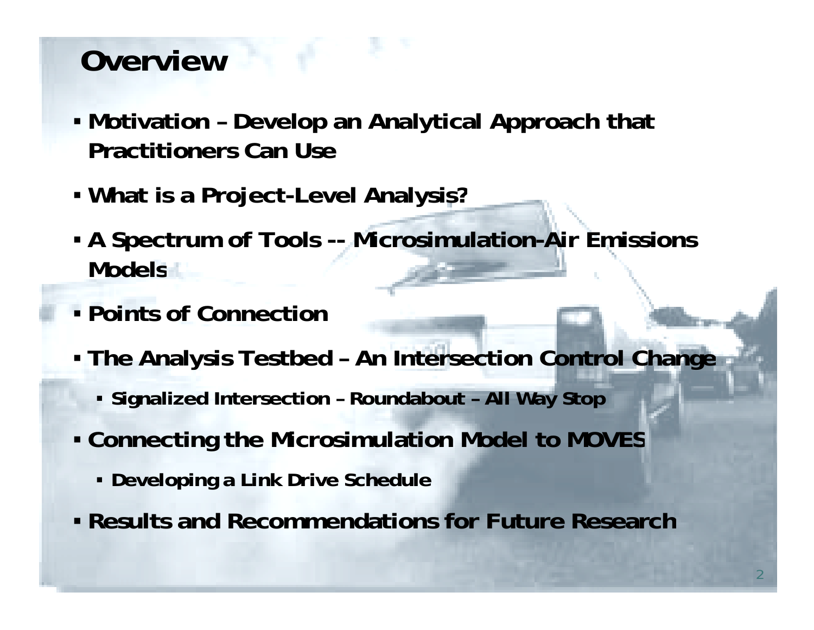# **Overview**

- **Motivation – Develop an Analytical Approach that Practitioners Can Use**
- **What is a Project-Level Analysis?**
- **A Spectrum of Tools -- Microsimulation-Air Emissions Models**
- **Points of Connection**
- **The Analysis Testbed – An Intersection Control Change**
	- **Signalized Intersection – Roundabout – All Way Stop**
- Connecting the Microsimulation Model to MOVES
	- **Developing a Link Drive Schedule**
- **R lt d R d ti f F t R h Results and Recommendations for Future Research**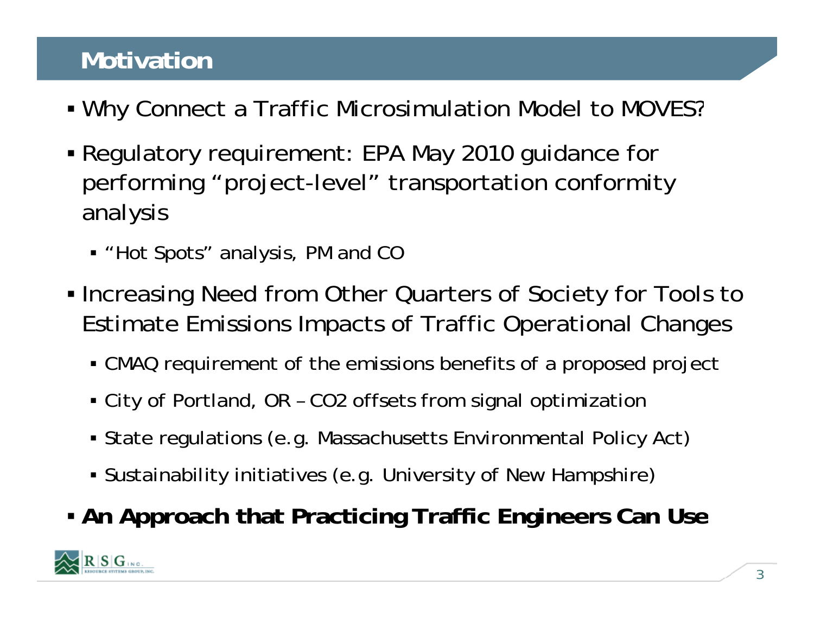# **Motivation**

- Why Connect a Traffic Microsimulation Model to MOVES?
- Regulatory requirement: EPA May 2010 guidance for performing "project-level" transportation conformity analysis
	- "Hot Spots" analysis, PM and CC
- Increasing Need from Other Quarters of Society for Tools to Estimate Emissions Impacts of Traffic Operational Changes
	- CMAQ requirement of the emissions benefits of a proposed project
	- City of Portland, OR CO2 offsets from signal optimization
	- $\bullet$  State regulations (e.g. Massachusetts Environmental Policy Act)
	- Sustainability initiatives (e.g. University of New Hampshire)
- **An Approach that Practicing Traffic Engineers Can Use**

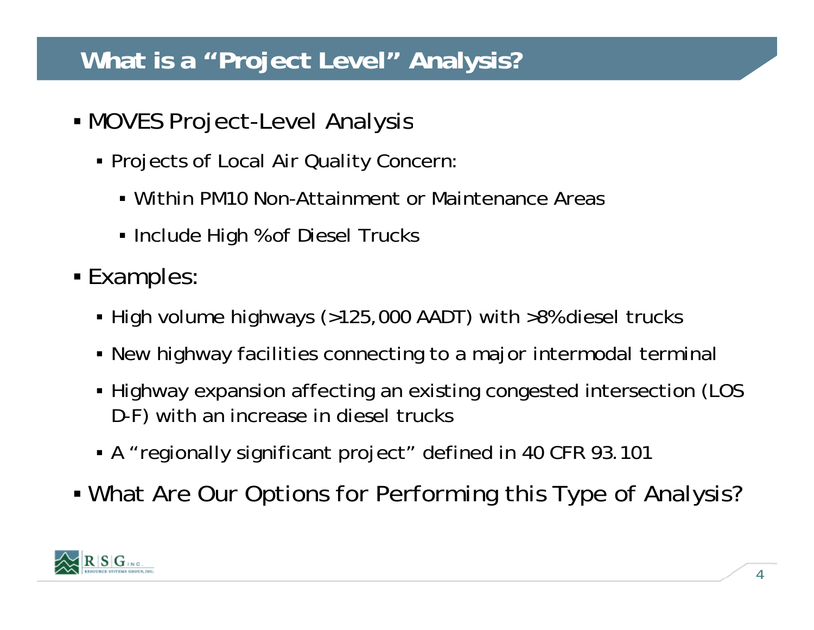## **What is a "Project Level" Analysis?**

- MOVES Project -Level Analysis
	- Projects of Local Air Quality Concern:
		- Within PM10 Non-Attainment or Maintenance Areas
		- Include High % of Diesel Trucks
- Examples:
	- High volume highways (>125,000 AADT) with >8% diesel trucks
	- New highway facilities connecting to a major intermodal terminal
	- Highway expansion affecting an existing congested intersection (LOS D-F) with an increase in diesel trucks
	- A "regionally significant project" defined in 40 CFR 93.101
- What Are Our Options for Performing this Type of Analysis?

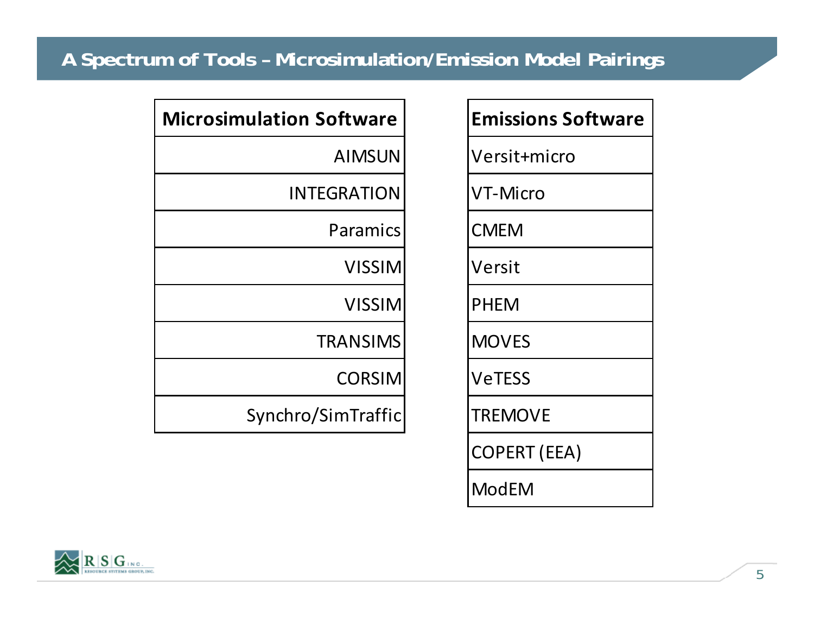## **A Spectrum of Tools – Microsimulation/Emission Model Pairings**

| ulation Software   |  | <b>Emissions Software</b> |  |
|--------------------|--|---------------------------|--|
| <b>AIMSUN</b>      |  | Versit+micro              |  |
| <b>INTEGRATION</b> |  | <b>VT-Micro</b>           |  |
| Paramics           |  | <b>CMEM</b>               |  |
| <b>VISSIM</b>      |  | Versit                    |  |
| <b>VISSIM</b>      |  | <b>PHEM</b>               |  |
| <b>TRANSIMS</b>    |  | <b>MOVES</b>              |  |
| <b>CORSIM</b>      |  | <b>VeTESS</b>             |  |
| Synchro/SimTraffic |  | <b>TREMOVE</b>            |  |
|                    |  | <b>COPERT (EEA)</b>       |  |
|                    |  | <b>ModEM</b>              |  |
|                    |  |                           |  |

| <b>Microsimulation Software</b> |  |  |
|---------------------------------|--|--|
| <b>AIMSUN</b>                   |  |  |
| INTEGRATION                     |  |  |
| Paramics                        |  |  |
| <b>VISSIM</b>                   |  |  |
| <b>VISSIM</b>                   |  |  |
| <b>TRANSIMS</b>                 |  |  |
| <b>CORSIM</b>                   |  |  |
| Synchro/SimTraffic              |  |  |
|                                 |  |  |

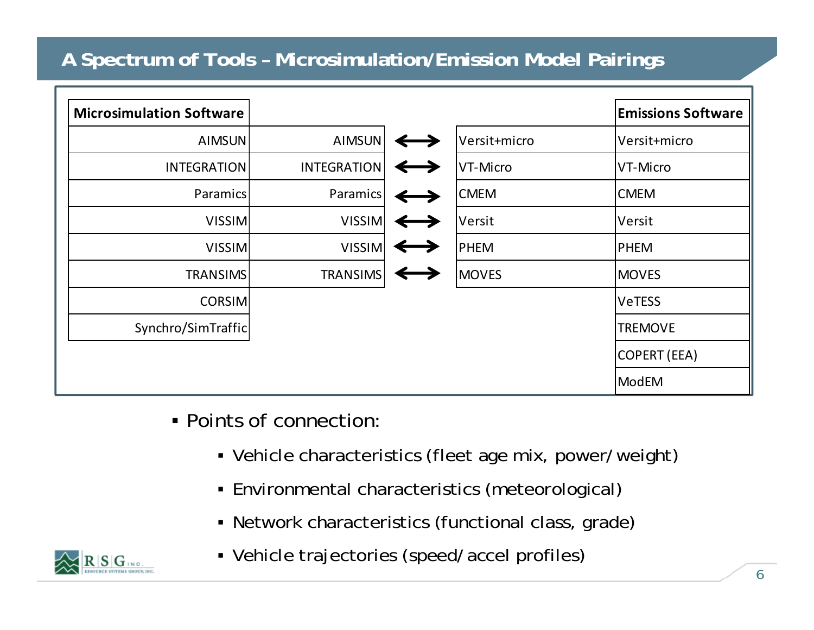## **A Spectrum of Tools – Microsimulation/Emission Model Pairings**

| <b>Microsimulation Software</b> |                    |              | <b>Emissions Software</b> |
|---------------------------------|--------------------|--------------|---------------------------|
| <b>AIMSUN</b>                   | <b>AIMSUN</b>      | Versit+micro | Versit+micro              |
| <b>INTEGRATION</b>              | <b>INTEGRATION</b> | VT-Micro     | VT-Micro                  |
| Paramics                        | Paramics           | <b>CMEM</b>  | <b>CMEM</b>               |
| <b>VISSIM</b>                   | <b>VISSIM</b>      | Versit       | Versit                    |
| <b>VISSIM</b>                   | <b>VISSIM</b>      | <b>PHEM</b>  | <b>PHEM</b>               |
| <b>TRANSIMS</b>                 | <b>TRANSIMS</b>    | <b>MOVES</b> | <b>MOVES</b>              |
| <b>CORSIM</b>                   |                    |              | <b>VeTESS</b>             |
| Synchro/SimTraffic              |                    |              | <b>TREMOVE</b>            |
|                                 |                    |              | COPERT (EEA)              |
|                                 |                    |              | ModEM                     |

- Points of connection:
	- Vehicle characteristics (fleet age mix, power/weight)
	- Environmental characteristics (meteorological)
	- Network characteristics (functional class, grade)



Vehicle trajectories (speed/accel profiles)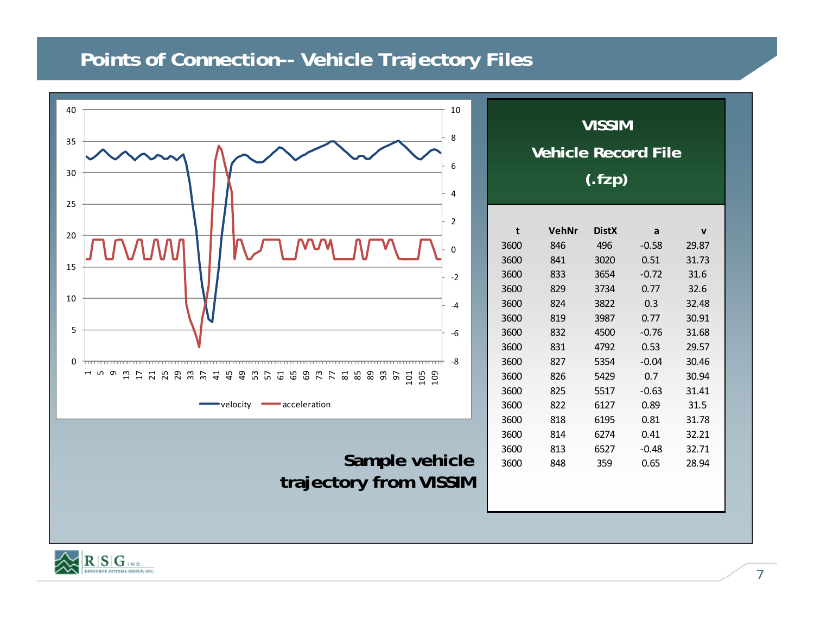#### **Points of Connection-- Vehicle Trajectory Files**



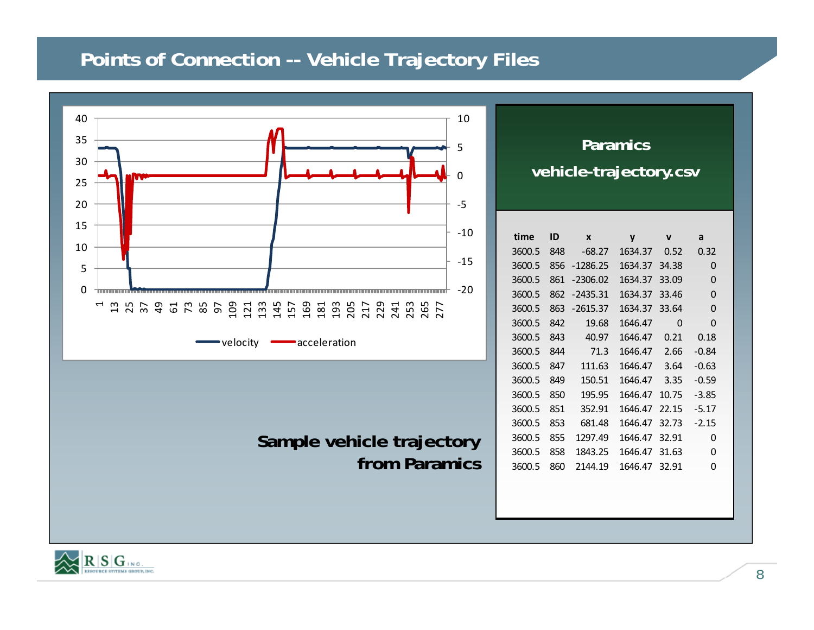### **Points of Connection -- Vehicle Trajectory Files**



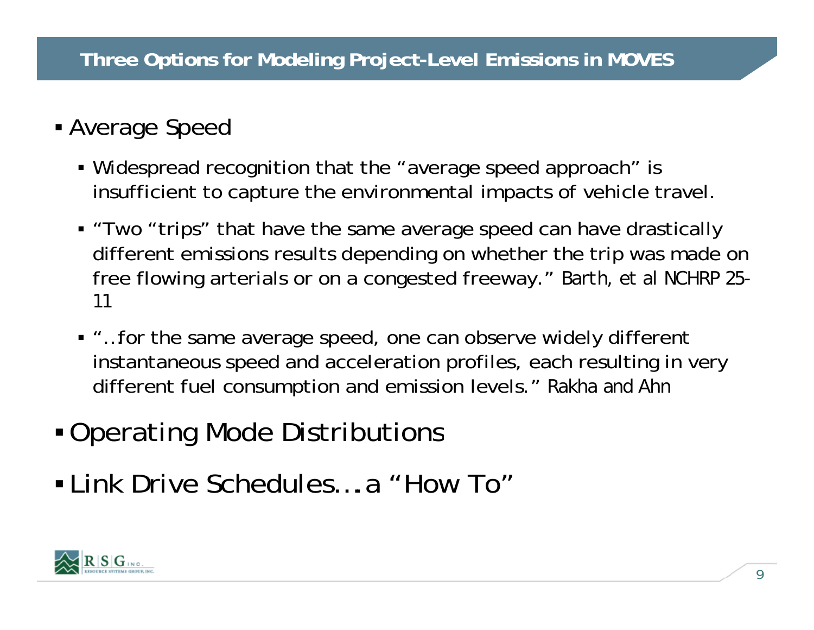## Average Speed

- Widespread recognition that the "average speed approach" is insufficient to capture the environmental impacts of vehicle travel.
- "Two "trips" that have the same average speed can have drastically different emissions results depending on whether the trip was made on free flowing arterials or on a congested freeway." *Barth, et al NCHRP 25* $\cdot$ *11*
- "…for the same average speed, one can observe widely different instantaneous speed and acceleration profiles, each resulting in very different fuel consumption and emission levels." *Rakha and Ahn*
- Operating Mode Distributions
- Link Drive Schedules….a "How To"

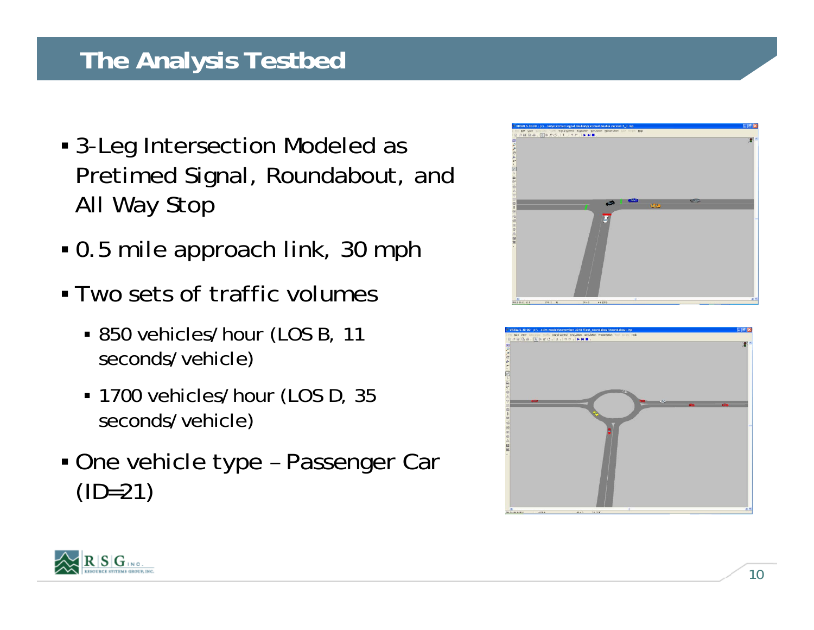## **The Analysis Testbed**

- 3-Leg Intersection Modeled as Pretimed Signal, Roundabout, and All Way Stop
- 0.5 mile approach link, 30 mph
- Two sets of traffic volumes
	- 850 vehicles/hour (LOS B, 11 seconds/vehicle)
	- 1700 vehicles/hour (LOS D, 35 seconds/vehicle)
- One vehicle type Passenger Car  $(ID=21)$





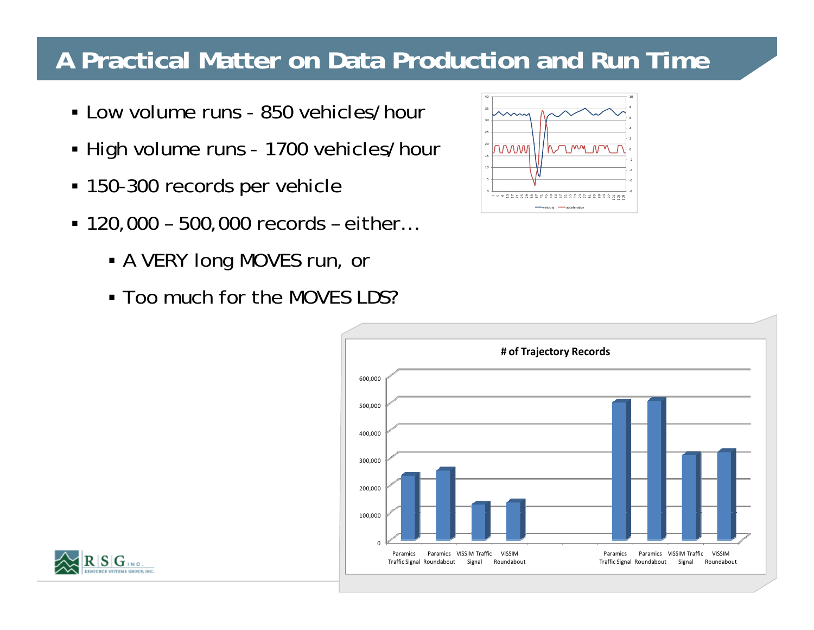## **A Practical Matter on Data Production and Run Time**

- Low volume runs 850 vehicles/hour
- High volume runs 1700 vehicles/hour
- $\blacksquare$  150-300 records per vehicle  $\lvert \frac{\dagger \blacksquare \qquad \qquad }{\ddots} \rvert$
- 120,000 500,000 records either…
	- A VERY long MOVES run, or
	- Too much for the MOVES LDS?





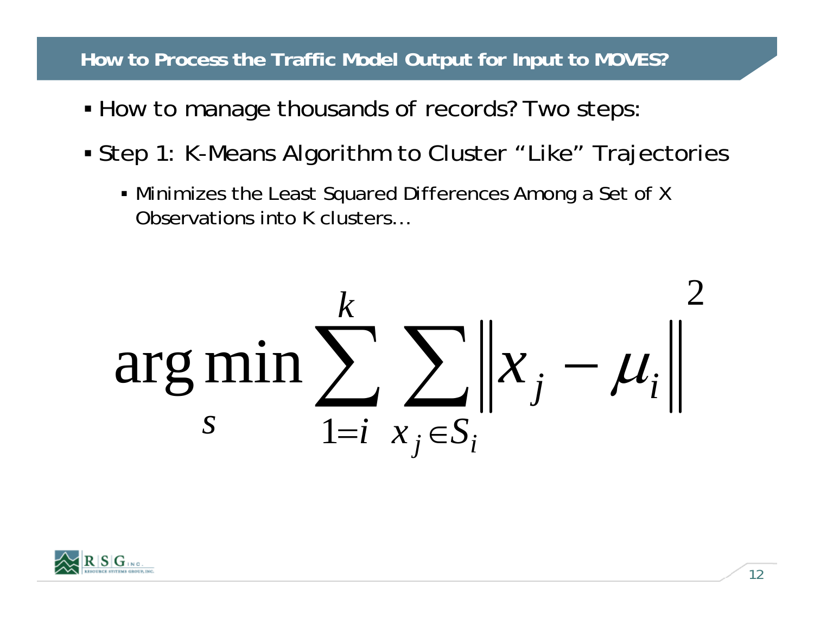#### **How to Process the Traffic Model Output for Input to MOVES?**

- How to manage thousands of records? Two steps:
- Step 1: K-Means Algorithm to Cluster "Like" Trajectories
	- Minimizes the Least Squared Differences Among a Set of X Observations into K clusters…



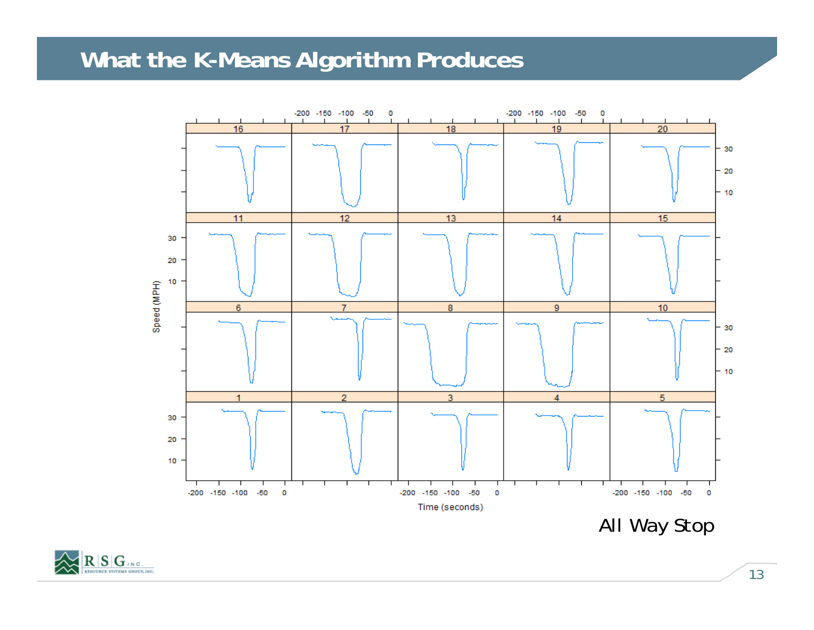## **What the K-Means Algorithm Produces**



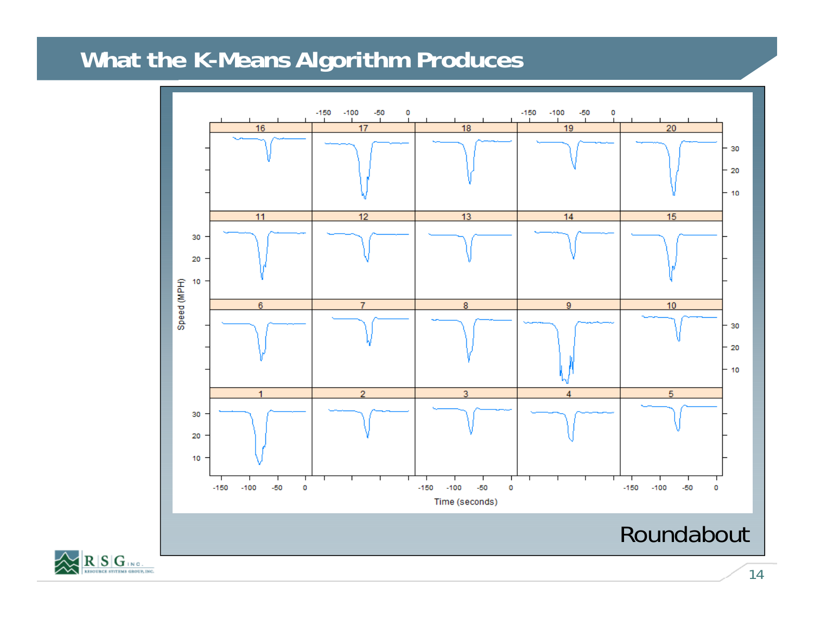# **What the K-Means Algorithm Produces**



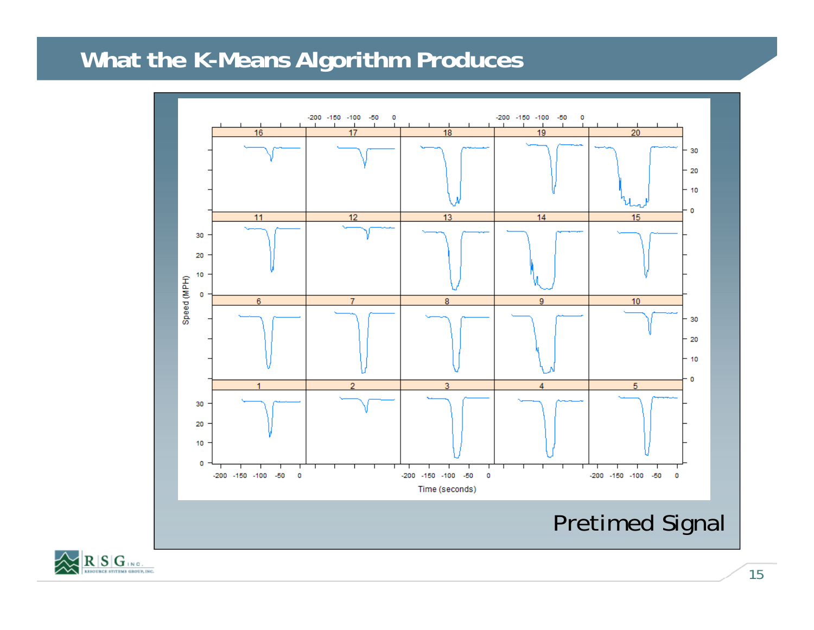## **What the K-Means Algorithm Produces**



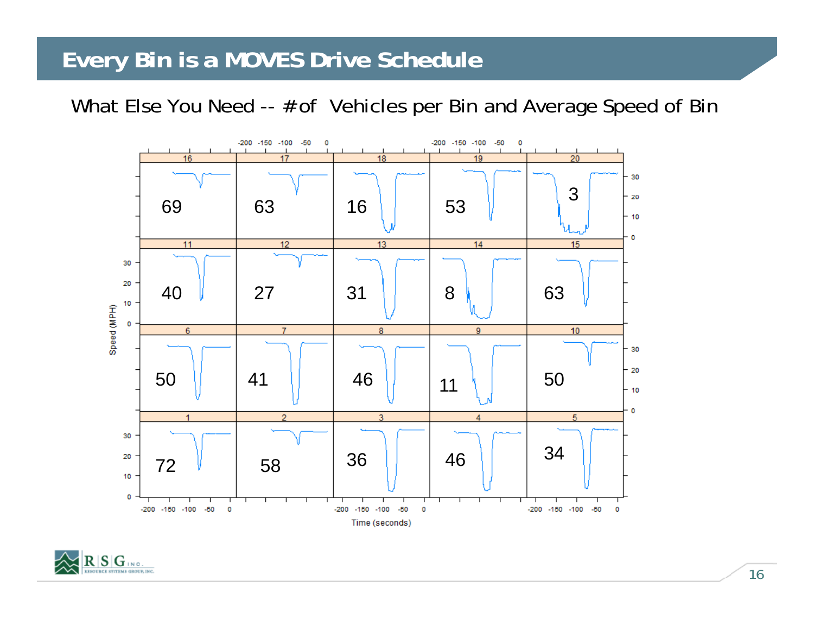## **Every Bin is a MOVES Drive Schedule**

What Else You Need -- # of Vehicles per Bin and Average Speed of Bir



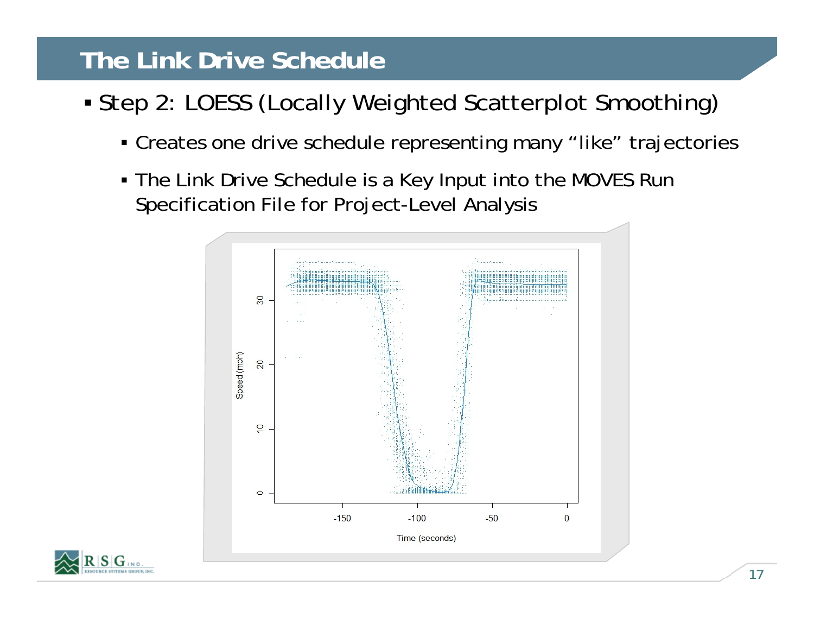# **The Link Drive Schedule**

- Step 2: LOESS (Locally Weighted Scatterplot Smoothing)
	- Creates one drive schedule representing many "like" trajectories
	- The Link Drive Schedule is a Key Input into the MOVES Run Specification File for Project-Level Analysis



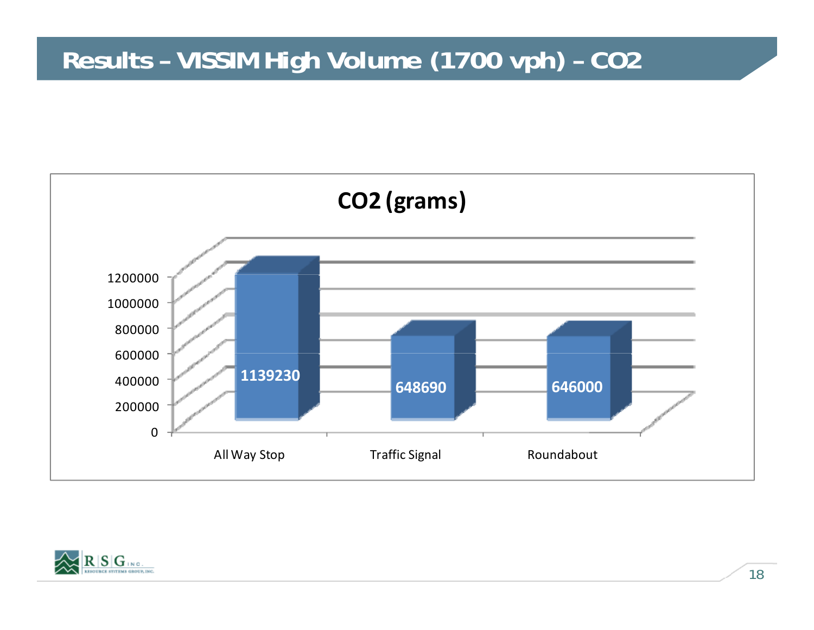## **Results – VISSIM High Volume (1700 vph) – CO2**



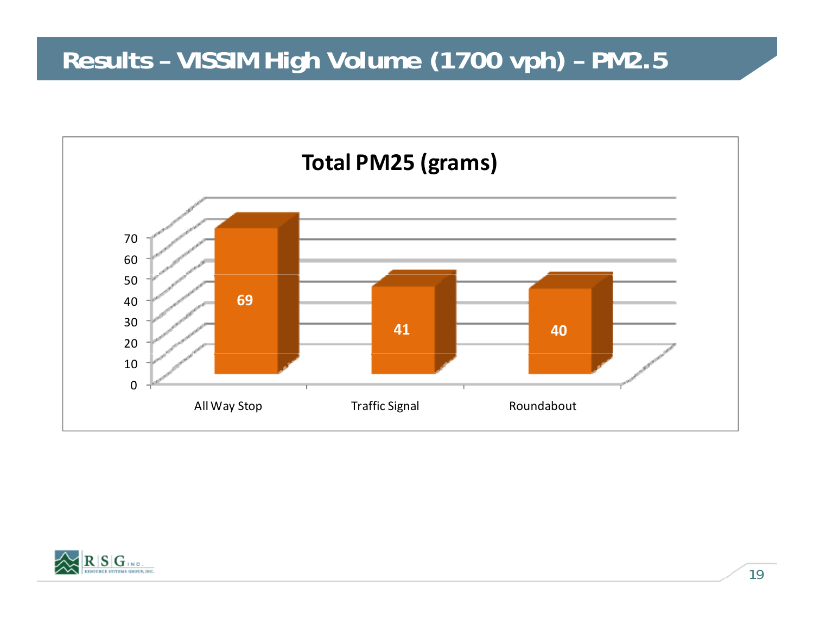# **Results – VISSIM High Volume (1700 vph) – PM2.5**



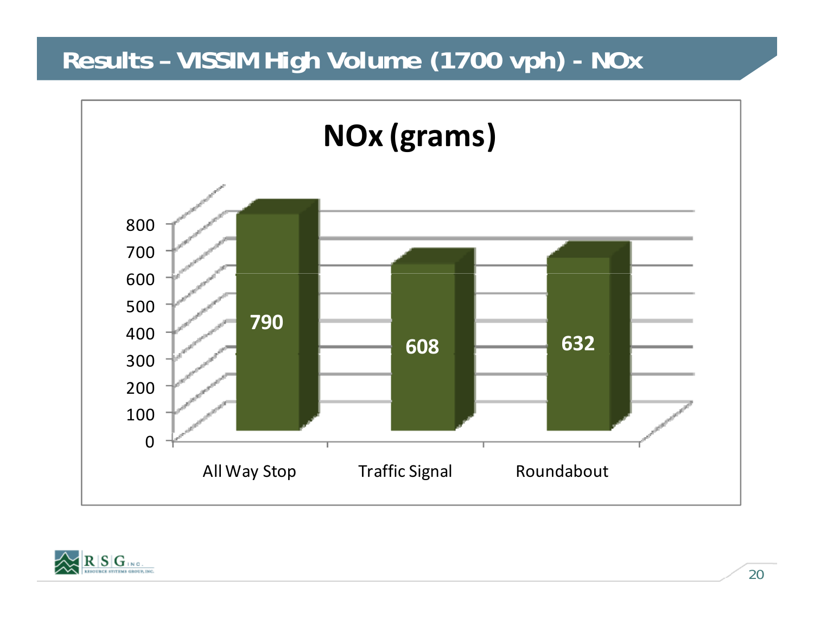# **Results – VISSIM High Volume (1700 vph) - NOx**



![](_page_19_Picture_2.jpeg)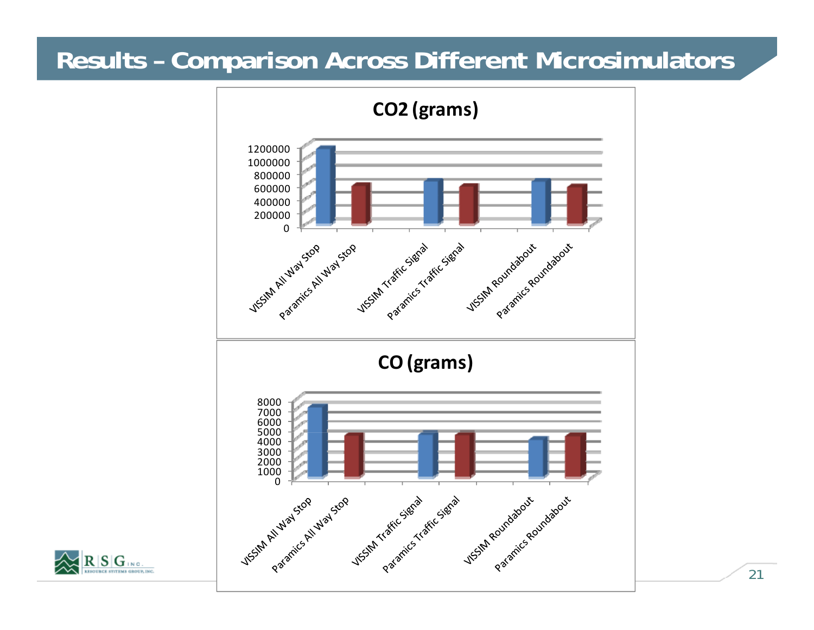## **Results – Comparison Across Different Microsimulators**

![](_page_20_Figure_1.jpeg)

![](_page_20_Picture_2.jpeg)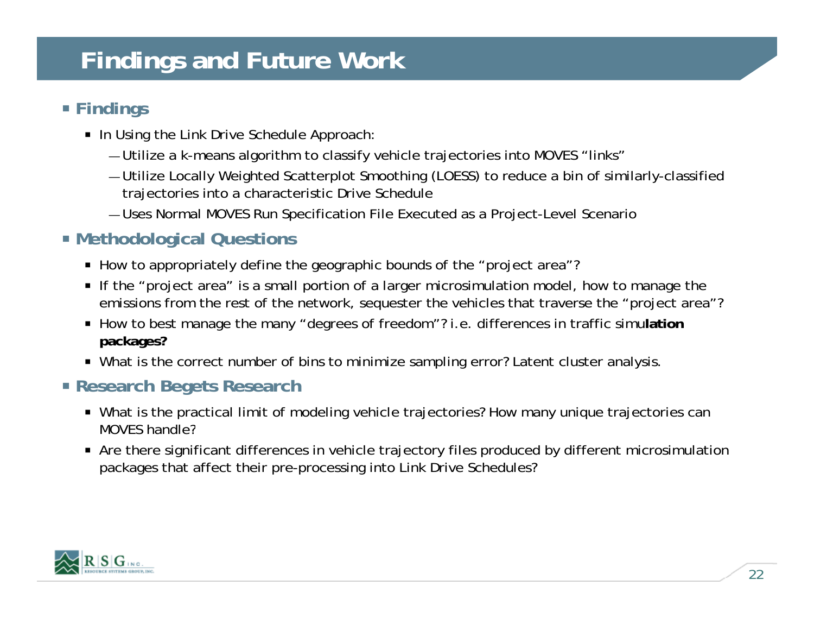# **Findings and Future Work**

#### **Findin g s**

- $\textcolor{red}{\bullet}$  In Using the Link Drive Schedule Approach:
	- Utilize a k-means algorithm to classify vehicle trajectories into MOVES "links"
	- Utilize Locally Weighted Scatterplot Smoothing (LOESS) to reduce a bin of similarly-classified trajectories into a characteristic Drive Schedule
	- Uses Normal MOVES Run Specification File Executed as a Project-Level Scenario

#### **Methodological Questions**

- How to appropriately define the geographic bounds of the "project area"?
- $\textcolor{black}{\bullet}$  If the "project area" is a small portion of a larger microsimulation model, how to manage the emissions from the rest of the network, sequester the vehicles that traverse the "project area"?
- How to best manage the many "degrees of freedom"? i.e. differences in traffic simulation **packages?**
- What is the correct number of bins to minimize sampling error? Latent cluster analysis.

#### **Research Begets Research**

- What is the practical limit of modeling vehicle trajectories? How many unique trajectories can MOVES handle?
- Are there significant differences in vehicle trajectory files produced by different microsimulation packages that affect their pre-processing into Link Drive Schedules?

![](_page_21_Picture_14.jpeg)